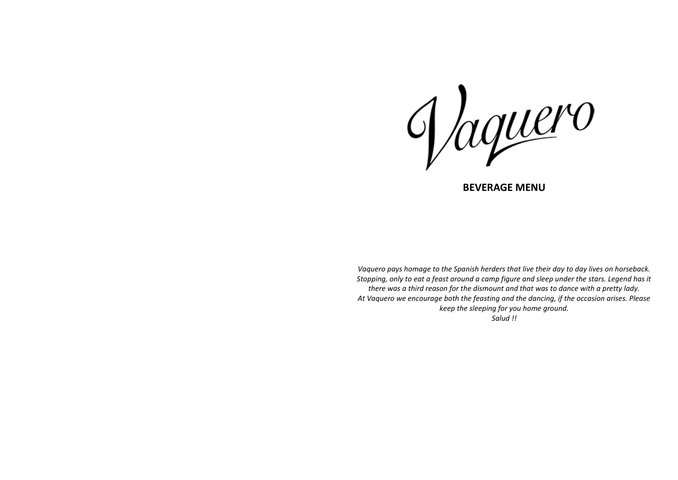

**BEVERAGE MENU**

*Vaquero pays homage to the Spanish herders that live their day to day lives on horseback. Stopping, only to eat a feast around a camp figure and sleep under the stars. Legend has it there was a third reason for the dismount and that was to dance with a pretty lady. At Vaquero we encourage both the feasting and the dancing, if the occasion arises. Please keep the sleeping for you home ground. Salud !!*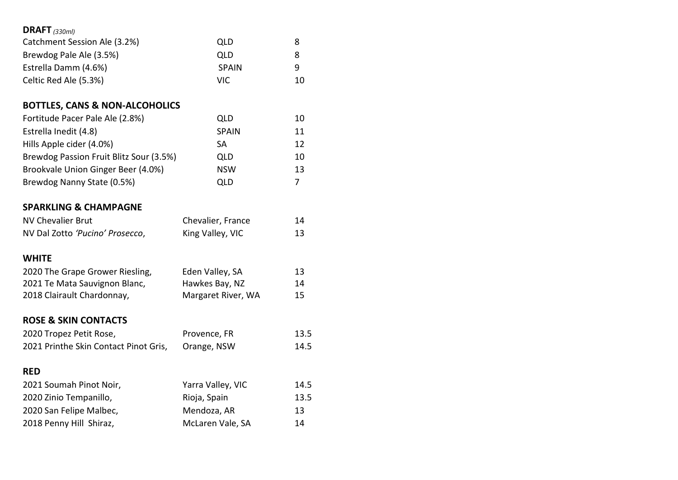# **DRAFT** *(330ml)*

| Catchment Session Ale (3.2%) | <b>OLD</b>   |    |
|------------------------------|--------------|----|
| Brewdog Pale Ale (3.5%)      | OLD          |    |
| Estrella Damm (4.6%)         | <b>SPAIN</b> |    |
| Celtic Red Ale (5.3%)        | VIC.         | 10 |

# **BOTTLES, CANS & NON-ALCOHOLICS**

| Fortitude Pacer Pale Ale (2.8%)         | <b>OLD</b>   | 10 |
|-----------------------------------------|--------------|----|
| Estrella Inedit (4.8)                   | <b>SPAIN</b> | 11 |
| Hills Apple cider (4.0%)                | SA           | 12 |
| Brewdog Passion Fruit Blitz Sour (3.5%) | QLD          | 10 |
| Brookvale Union Ginger Beer (4.0%)      | <b>NSW</b>   | 13 |
| Brewdog Nanny State (0.5%)              | <b>OLD</b>   |    |

### **SPARKLING & CHAMPAGNE**

| <b>NV Chevalier Brut</b>        | Chevalier, France | 14 |
|---------------------------------|-------------------|----|
| NV Dal Zotto 'Pucino' Prosecco, | King Valley, VIC  | 13 |

### **WHITE**

| 2020 The Grape Grower Riesling, | Eden Valley, SA    | 13 |
|---------------------------------|--------------------|----|
| 2021 Te Mata Sauvignon Blanc,   | Hawkes Bay, NZ     | 14 |
| 2018 Clairault Chardonnay,      | Margaret River, WA | 15 |

#### **ROSE & SKIN CONTACTS**

| 2020 Tropez Petit Rose,               | Provence, FR | 13.5 |
|---------------------------------------|--------------|------|
| 2021 Printhe Skin Contact Pinot Gris, | Orange, NSW  | 14.5 |

#### **RED**

| 2021 Soumah Pinot Noir, | Yarra Valley, VIC | 14.5 |
|-------------------------|-------------------|------|
| 2020 Zinio Tempanillo,  | Rioja, Spain      | 13.5 |
| 2020 San Felipe Malbec, | Mendoza, AR       | 13   |
| 2018 Penny Hill Shiraz, | McLaren Vale, SA  | 14   |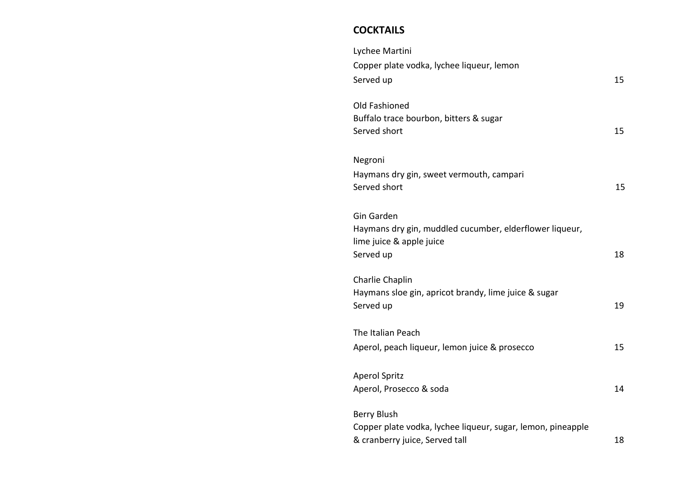# **COCKTAILS**

| Lychee Martini                                                                                |    |
|-----------------------------------------------------------------------------------------------|----|
| Copper plate vodka, lychee liqueur, lemon                                                     |    |
| Served up                                                                                     | 15 |
| Old Fashioned                                                                                 |    |
| Buffalo trace bourbon, bitters & sugar<br>Served short                                        | 15 |
|                                                                                               |    |
| Negroni                                                                                       |    |
| Haymans dry gin, sweet vermouth, campari<br>Served short                                      | 15 |
|                                                                                               |    |
| Gin Garden                                                                                    |    |
| Haymans dry gin, muddled cucumber, elderflower liqueur,<br>lime juice & apple juice           |    |
| Served up                                                                                     | 18 |
| Charlie Chaplin                                                                               |    |
| Haymans sloe gin, apricot brandy, lime juice & sugar                                          |    |
| Served up                                                                                     | 19 |
| The Italian Peach                                                                             |    |
| Aperol, peach liqueur, lemon juice & prosecco                                                 | 15 |
|                                                                                               |    |
| <b>Aperol Spritz</b><br>Aperol, Prosecco & soda                                               | 14 |
|                                                                                               |    |
| <b>Berry Blush</b>                                                                            |    |
| Copper plate vodka, lychee liqueur, sugar, lemon, pineapple<br>& cranberry juice, Served tall | 18 |
|                                                                                               |    |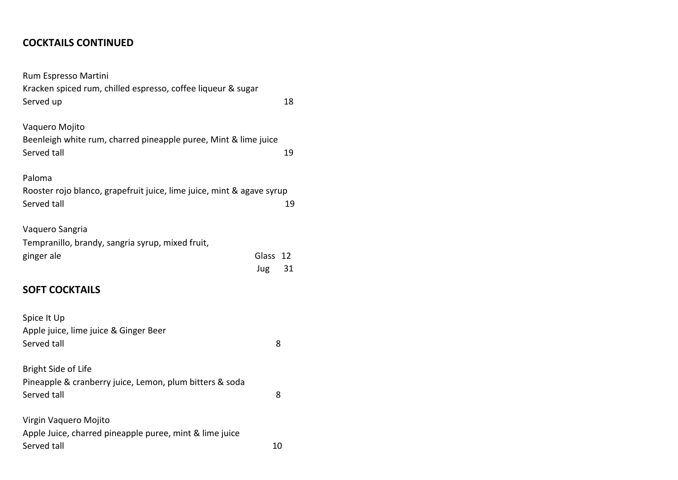# **COCKTAILS CONTINUED**

| Rum Espresso Martini                                                                             |                       |
|--------------------------------------------------------------------------------------------------|-----------------------|
| Kracken spiced rum, chilled espresso, coffee liqueur & sugar<br>Served up                        | 18                    |
| Vaquero Mojito<br>Beenleigh white rum, charred pineapple puree, Mint & lime juice<br>Served tall | 19                    |
| Paloma<br>Rooster rojo blanco, grapefruit juice, lime juice, mint & agave syrup<br>Served tall   | 19                    |
| Vaquero Sangria<br>Tempranillo, brandy, sangria syrup, mixed fruit,<br>ginger ale                | Glass 12<br>Jug<br>31 |
| <b>SOFT COCKTAILS</b>                                                                            |                       |
| Spice It Up<br>Apple juice, lime juice & Ginger Beer<br>Served tall                              | 8                     |
| Bright Side of Life<br>Pineapple & cranberry juice, Lemon, plum bitters & soda<br>Served tall    | 8                     |
| Virgin Vaquero Mojito<br>Apple Juice, charred pineapple puree, mint & lime juice<br>Served tall  | 10                    |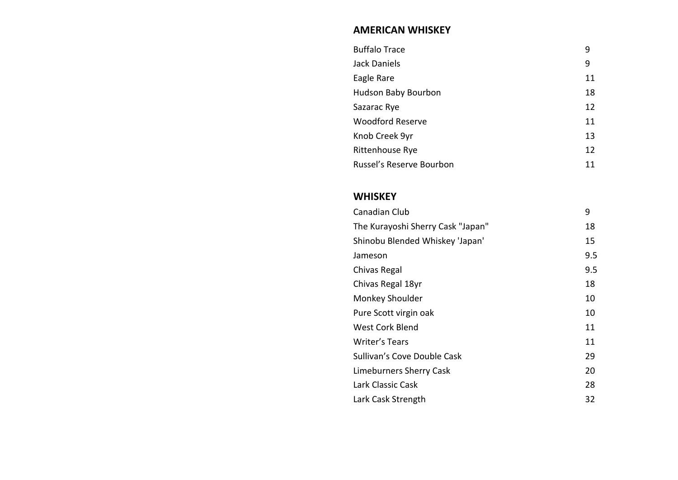# **AMERICAN WHISKEY**

| <b>Buffalo Trace</b>     | 9  |
|--------------------------|----|
| Jack Daniels             | 9  |
| Eagle Rare               | 11 |
| Hudson Baby Bourbon      | 18 |
| Sazarac Rye              | 12 |
| <b>Woodford Reserve</b>  | 11 |
| Knob Creek 9yr           | 13 |
| Rittenhouse Rye          | 12 |
| Russel's Reserve Bourbon | 11 |

# **WHISKEY**

| Canadian Club                     | 9   |
|-----------------------------------|-----|
| The Kurayoshi Sherry Cask "Japan" | 18  |
| Shinobu Blended Whiskey 'Japan'   | 15  |
| Jameson                           | 9.5 |
| Chivas Regal                      | 9.5 |
| Chivas Regal 18yr                 | 18  |
| Monkey Shoulder                   | 10  |
| Pure Scott virgin oak             | 10  |
| West Cork Blend                   | 11  |
| Writer's Tears                    | 11  |
| Sullivan's Cove Double Cask       | 29  |
| Limeburners Sherry Cask           | 20  |
| Lark Classic Cask                 | 28  |
| Lark Cask Strength                | 32  |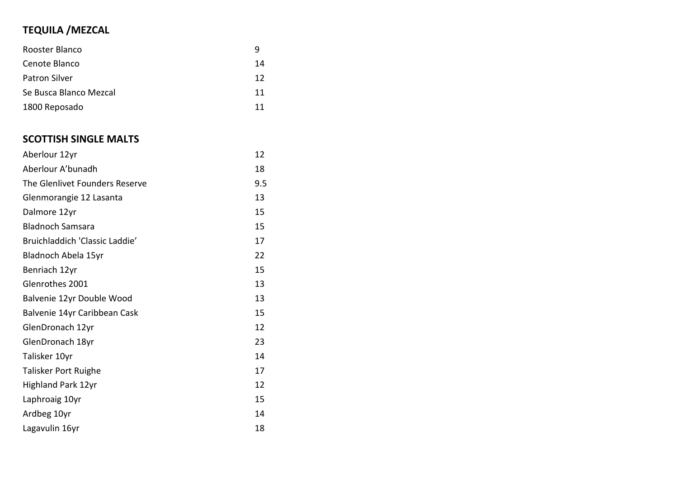# **TEQUILA /MEZCAL**

| Rooster Blanco         | 9  |
|------------------------|----|
| Cenote Blanco          | 14 |
| <b>Patron Silver</b>   | 12 |
| Se Busca Blanco Mezcal | 11 |
| 1800 Reposado          | 11 |

# **SCOTTISH SINGLE MALTS**

| Aberlour 12yr                  | 12  |
|--------------------------------|-----|
| Aberlour A'bunadh              | 18  |
| The Glenlivet Founders Reserve | 9.5 |
| Glenmorangie 12 Lasanta        | 13  |
| Dalmore 12yr                   | 15  |
| <b>Bladnoch Samsara</b>        | 15  |
| Bruichladdich 'Classic Laddie' | 17  |
| Bladnoch Abela 15yr            | 22  |
| Benriach 12yr                  | 15  |
| Glenrothes 2001                | 13  |
| Balvenie 12yr Double Wood      | 13  |
| Balvenie 14yr Caribbean Cask   | 15  |
| GlenDronach 12yr               | 12  |
| GlenDronach 18yr               | 23  |
| Talisker 10yr                  | 14  |
| Talisker Port Ruighe           | 17  |
| <b>Highland Park 12yr</b>      | 12  |
| Laphroaig 10yr                 | 15  |
| Ardbeg 10yr                    | 14  |
| Lagavulin 16yr                 | 18  |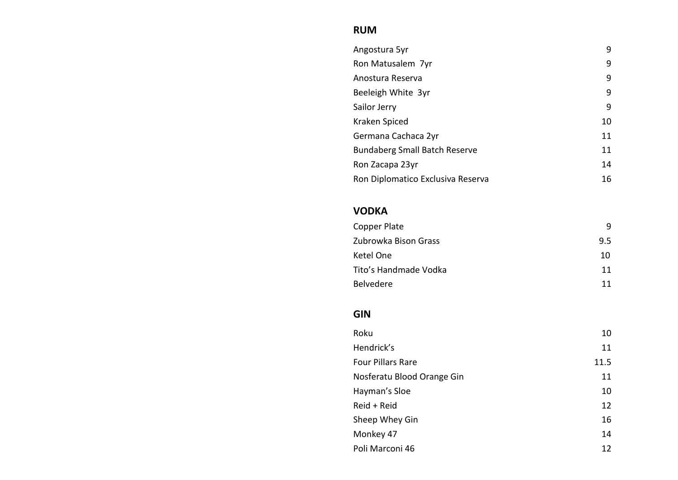# **RUM**

| Angostura 5yr                        | 9  |
|--------------------------------------|----|
| Ron Matusalem 7yr                    | 9  |
| Anostura Reserva                     | 9  |
| Beeleigh White 3yr                   | 9  |
| Sailor Jerry                         | 9  |
| Kraken Spiced                        | 10 |
| Germana Cachaca 2yr                  | 11 |
| <b>Bundaberg Small Batch Reserve</b> | 11 |
| Ron Zacapa 23yr                      | 14 |
| Ron Diplomatico Exclusiva Reserva    | 16 |

# **VODKA**

| q   |
|-----|
| 9.5 |
| 10  |
| 11  |
| 11  |
|     |

# **GIN**

| Roku                       | 10   |
|----------------------------|------|
| Hendrick's                 | 11   |
| <b>Four Pillars Rare</b>   | 11.5 |
| Nosferatu Blood Orange Gin | 11   |
| Hayman's Sloe              | 10   |
| Reid + Reid                | 12   |
| Sheep Whey Gin             | 16   |
| Monkey 47                  | 14   |
| Poli Marconi 46            | 12   |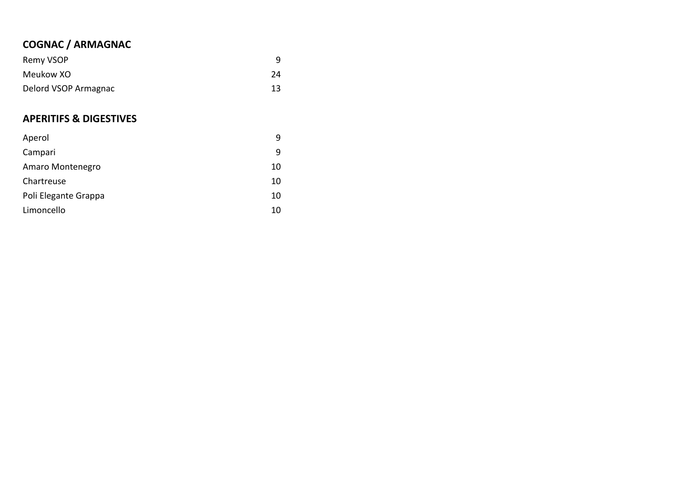# **COGNAC / ARMAGNAC**

| Remy VSOP            |    |
|----------------------|----|
| Meukow XO            | 24 |
| Delord VSOP Armagnac | 13 |

# **APERITIFS & DIGESTIVES**

| Aperol               | 9  |
|----------------------|----|
| Campari              | 9  |
| Amaro Montenegro     | 10 |
| Chartreuse           | 10 |
| Poli Elegante Grappa | 10 |
| Limoncello           | 10 |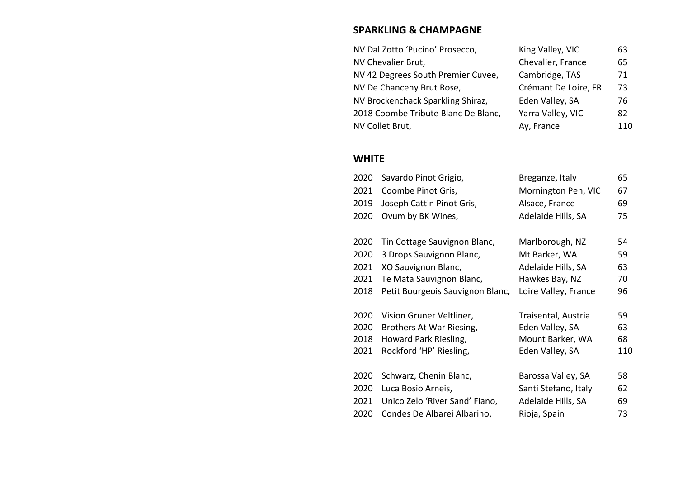### **SPARKLING & CHAMPAGNE**

| NV Dal Zotto 'Pucino' Prosecco,     | King Valley, VIC     | 63  |
|-------------------------------------|----------------------|-----|
| NV Chevalier Brut,                  | Chevalier, France    | 65  |
| NV 42 Degrees South Premier Cuvee,  | Cambridge, TAS       | 71  |
| NV De Chanceny Brut Rose,           | Crémant De Loire, FR | 73  |
| NV Brockenchack Sparkling Shiraz,   | Eden Valley, SA      | 76  |
| 2018 Coombe Tribute Blanc De Blanc, | Yarra Valley, VIC    | 82  |
| NV Collet Brut,                     | Ay, France           | 110 |

### **WHITE**

| 2020 | Savardo Pinot Grigio,            | Breganze, Italy      | 65  |
|------|----------------------------------|----------------------|-----|
| 2021 | Coombe Pinot Gris,               | Mornington Pen, VIC  | 67  |
| 2019 | Joseph Cattin Pinot Gris,        | Alsace, France       | 69  |
| 2020 | Ovum by BK Wines,                | Adelaide Hills, SA   | 75  |
|      |                                  |                      |     |
| 2020 | Tin Cottage Sauvignon Blanc,     | Marlborough, NZ      | 54  |
| 2020 | 3 Drops Sauvignon Blanc,         | Mt Barker, WA        | 59  |
| 2021 | XO Sauvignon Blanc,              | Adelaide Hills, SA   | 63  |
| 2021 | Te Mata Sauvignon Blanc,         | Hawkes Bay, NZ       | 70  |
| 2018 | Petit Bourgeois Sauvignon Blanc, | Loire Valley, France | 96  |
| 2020 | Vision Gruner Veltliner,         | Traisental, Austria  | 59  |
| 2020 | Brothers At War Riesing,         | Eden Valley, SA      | 63  |
| 2018 | Howard Park Riesling,            | Mount Barker, WA     | 68  |
| 2021 | Rockford 'HP' Riesling,          | Eden Valley, SA      | 110 |
| 2020 | Schwarz, Chenin Blanc,           | Barossa Valley, SA   | 58  |
| 2020 | Luca Bosio Arneis,               | Santi Stefano, Italy | 62  |
| 2021 | Unico Zelo 'River Sand' Fiano,   | Adelaide Hills, SA   | 69  |
| 2020 | Condes De Albarei Albarino,      | Rioja, Spain         | 73  |
|      |                                  |                      |     |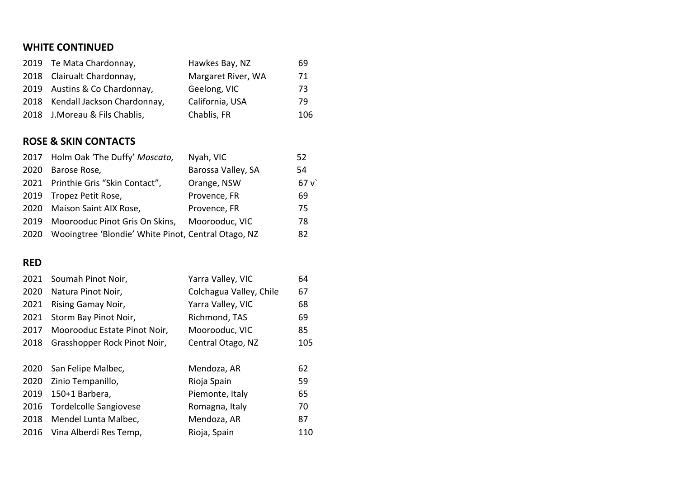# **WHITE CONTINUED**

| 2019 Te Mata Chardonnay,         | Hawkes Bay, NZ     | 69  |
|----------------------------------|--------------------|-----|
| 2018 Clairualt Chardonnay,       | Margaret River, WA | 71  |
| 2019 Austins & Co Chardonnay,    | Geelong, VIC       | 73  |
| 2018 Kendall Jackson Chardonnay, | California, USA    | 79  |
| 2018 J.Moreau & Fils Chablis,    | Chablis, FR        | 106 |

# **ROSE & SKIN CONTACTS**

|      | 2017 Holm Oak 'The Duffy' Moscato,                  | Nyah, VIC          | 52  |
|------|-----------------------------------------------------|--------------------|-----|
| 2020 | Barose Rose,                                        | Barossa Valley, SA | 54  |
|      | 2021 Printhie Gris "Skin Contact",                  | Orange, NSW        | 67v |
|      | 2019 Tropez Petit Rose,                             | Provence, FR       | 69  |
|      | 2020 Maison Saint AIX Rose,                         | Provence, FR       | 75  |
|      | 2019 Moorooduc Pinot Gris On Skins,                 | Moorooduc, VIC     | 78  |
| 2020 | Wooingtree 'Blondie' White Pinot, Central Otago, NZ |                    | 82  |

### **RED**

| 2021 | Soumah Pinot Noir,           | Yarra Valley, VIC       | 64  |
|------|------------------------------|-------------------------|-----|
| 2020 | Natura Pinot Noir,           | Colchagua Valley, Chile | 67  |
| 2021 | Rising Gamay Noir,           | Yarra Valley, VIC       | 68  |
| 2021 | Storm Bay Pinot Noir,        | Richmond, TAS           | 69  |
| 2017 | Moorooduc Estate Pinot Noir, | Moorooduc, VIC          | 85  |
| 2018 | Grasshopper Rock Pinot Noir, | Central Otago, NZ       | 105 |
|      |                              |                         |     |
| 2020 | San Felipe Malbec,           | Mendoza, AR             | 62  |
| 2020 | Zinio Tempanillo,            | Rioja Spain             | 59  |
| 2019 | 150+1 Barbera,               | Piemonte, Italy         | 65  |
| 2016 | Tordelcolle Sangiovese       | Romagna, Italy          | 70  |
| 2018 | Mendel Lunta Malbec,         | Mendoza, AR             | 87  |
| 2016 | Vina Alberdi Res Temp,       | Rioja, Spain            | 110 |